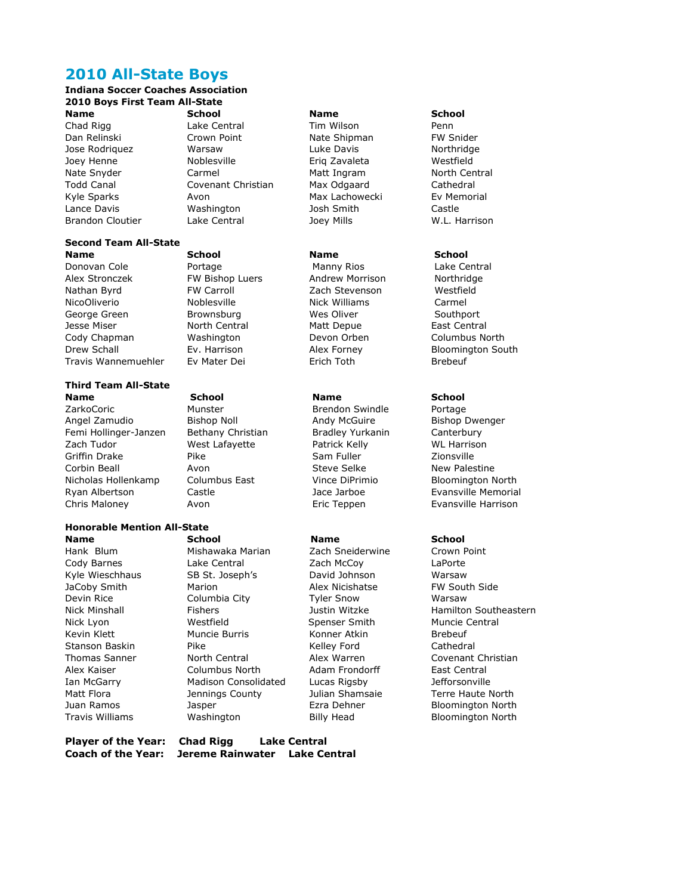# **2010 All-State Boys**

### **Indiana Soccer Coaches Association 2010 Boys First Team All-State Name School School Name School**

Chad Rigg Lake Central Tim Wilson Penn Dan Relinski Crown Point Nate Shipman FW Snider Jose Rodriquez Warsaw Luke Davis Northridge Joey Henne Noblesville Eriq Zavaleta Westfield Nate Snyder **Carmel** Carmel Matt Ingram Morth Central Todd Canal Covenant Christian Max Odgaard Cathedral Kyle Sparks **Avon** Avon Max Lachowecki Ev Memorial Lance Davis Washington Josh Smith Castle Brandon Cloutier Lake Central Joey Mills W.L. Harrison

### **Second Team All-State Name School School Name School**

Nathan Byrd **FW Carroll Example 2** Zach Stevenson **Westfield** NicoOliverio **Noblesville** Nick Williams Carmel George Green Brownsburg Mes Oliver Networks Southport Jesse Miser **North Central** Matt Depue **Matt Depue** East Central Cody Chapman Washington Devon Orben Columbus North Drew Schall **Ev. Harrison** Alex Forney Bloomington South Travis Wannemuehler Ev Mater Dei Erich Toth Brebeuf

### **Third Team All-State Name School Name School**

ZarkoCoric Munster Brendon Swindle Portage Angel Zamudio **Bishop Noll Bishop Andy McGuire** Bishop Dwenger Femi Hollinger-Janzen Bethany Christian Bradley Yurkanin Canterbury Zach Tudor **WARES WARE WAS A CONTACT CONTACT CONTROL** Patrick Kelly WE Harrison Griffin Drake **Pike** Pike Sam Fuller Sam Fuller Zionsville Corbin Beall **Avon** Avon Steve Selke New Palestine Nicholas Hollenkamp Columbus East Vince DiPrimio Bloomington North Ryan Albertson Castle Jace Jarboe Evansville Memorial Chris Maloney Avon Eric Teppen Evansville Harrison

# **Honorable Mention All-State**

**Name School Name School**  JaCoby Smith Marion Marion Alex Nicishatse Stanson Baskin Pike Pike Kelley Ford

Donovan Cole Portage Manny Rios Lake Central Alex Stronczek FW Bishop Luers Andrew Morrison Northridge

Hank Blum Mishawaka Marian Zach Sneiderwine Crown Point Cody Barnes Lake Central Zach McCoy LaPorte Kyle Wieschhaus SB St. Joseph's Savid Johnson Marsaw Warsaw<br>JaCoby Smith Marion Marion Alex Nicishatse FW South Side Devin Rice Columbia City Tyler Snow Warsaw Nick Lyon **Westfield** Spenser Smith Muncie Central<br>
Spenser Smith Muncie Rurris Monner Atkin Brebeuf Kevin Klett Muncie Burris Konner Atkin Brebeuf Alex Kaiser Columbus North Adam Frondorff East Central Ian McGarry Madison Consolidated Lucas Rigsby Jefforsonville

**Player of the Year: Chad Rigg Lake Central**

**Coach of the Year: Jereme Rainwater Lake Central**

Nick Minshall Fishers Justin Witzke Hamilton Southeastern Thomas Sanner **North Central** Alex Warren **Covenant Christian** Matt Flora **Matt Flora** Jennings County Julian Shamsaie Terre Haute North Juan Ramos Jasper Ezra Dehner Bloomington North Travis Williams Washington Billy Head Bloomington North